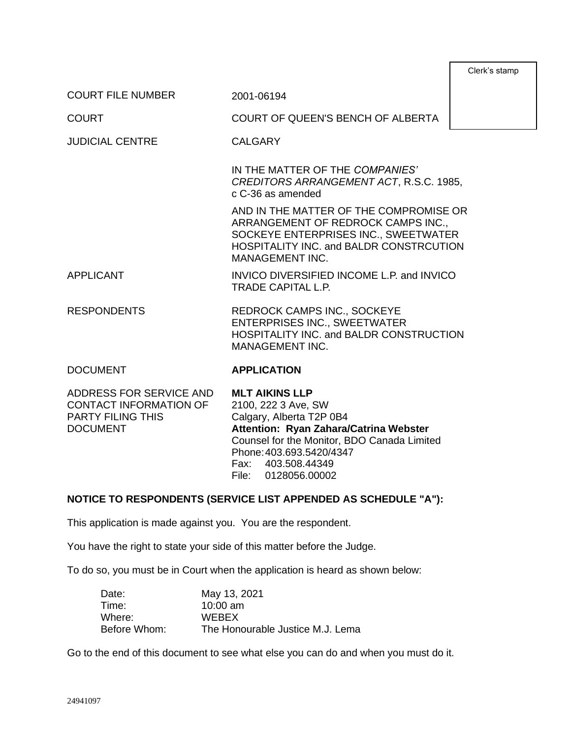| Clerk's stamp |
|---------------|
|---------------|

COURT FILE NUMBER 2001-06194

COURT COURT OF QUEEN'S BENCH OF ALBERTA

JUDICIAL CENTRE CALGARY

IN THE MATTER OF THE *COMPANIES' CREDITORS ARRANGEMENT ACT*, R.S.C. 1985, c C-36 as amended

AND IN THE MATTER OF THE COMPROMISE OR ARRANGEMENT OF REDROCK CAMPS INC., SOCKEYE ENTERPRISES INC., SWEETWATER HOSPITALITY INC. and BALDR CONSTRCUTION MANAGEMENT INC.

- APPLICANT INVICO DIVERSIFIED INCOME L.P. and INVICO TRADE CAPITAL L.P.
- RESPONDENTS REDROCK CAMPS INC., SOCKEYE ENTERPRISES INC., SWEETWATER HOSPITALITY INC. and BALDR CONSTRUCTION MANAGEMENT INC.

#### DOCUMENT **APPLICATION**

| ADDRESS FOR SERVICE AND | <b>MLT AIKINS LLP</b>                       |
|-------------------------|---------------------------------------------|
| CONTACT INFORMATION OF  | 2100, 222 3 Ave, SW                         |
| PARTY FILING THIS       | Calgary, Alberta T2P 0B4                    |
| <b>DOCUMENT</b>         | Attention: Ryan Zahara/Catrina Webster      |
|                         | Counsel for the Monitor, BDO Canada Limited |
|                         | Phone: 403.693.5420/4347                    |
|                         | Fax: 403.508.44349                          |
|                         | File: 0128056.00002                         |
|                         |                                             |

#### **NOTICE TO RESPONDENTS (SERVICE LIST APPENDED AS SCHEDULE "A"):**

This application is made against you. You are the respondent.

You have the right to state your side of this matter before the Judge.

To do so, you must be in Court when the application is heard as shown below:

| Date:        | May 13, 2021                     |
|--------------|----------------------------------|
| Time:        | $10:00$ am                       |
| Where:       | <b>WEBEX</b>                     |
| Before Whom: | The Honourable Justice M.J. Lema |

Go to the end of this document to see what else you can do and when you must do it.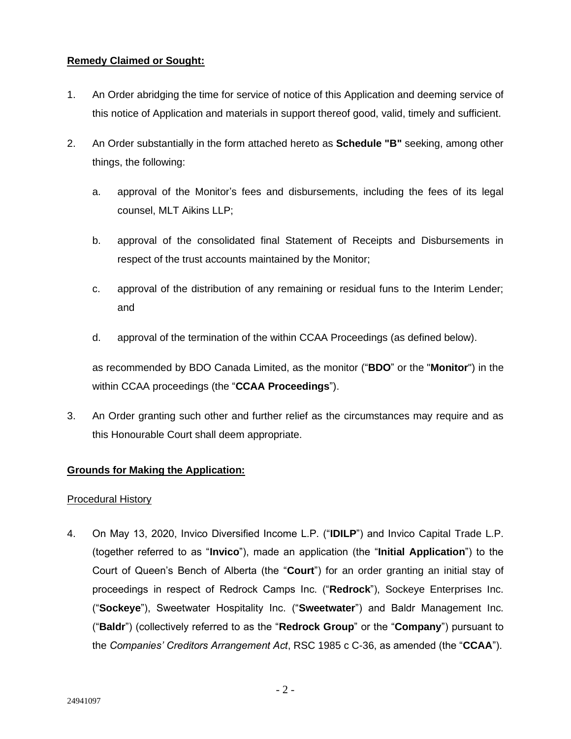# **Remedy Claimed or Sought:**

- 1. An Order abridging the time for service of notice of this Application and deeming service of this notice of Application and materials in support thereof good, valid, timely and sufficient.
- 2. An Order substantially in the form attached hereto as **Schedule "B"** seeking, among other things, the following:
	- a. approval of the Monitor's fees and disbursements, including the fees of its legal counsel, MLT Aikins LLP;
	- b. approval of the consolidated final Statement of Receipts and Disbursements in respect of the trust accounts maintained by the Monitor;
	- c. approval of the distribution of any remaining or residual funs to the Interim Lender; and
	- d. approval of the termination of the within CCAA Proceedings (as defined below).

as recommended by BDO Canada Limited, as the monitor ("**BDO**" or the "**Monitor**") in the within CCAA proceedings (the "**CCAA Proceedings**").

3. An Order granting such other and further relief as the circumstances may require and as this Honourable Court shall deem appropriate.

# **Grounds for Making the Application:**

### Procedural History

4. On May 13, 2020, Invico Diversified Income L.P. ("**IDILP**") and Invico Capital Trade L.P. (together referred to as "**Invico**"), made an application (the "**Initial Application**") to the Court of Queen's Bench of Alberta (the "**Court**") for an order granting an initial stay of proceedings in respect of Redrock Camps Inc. ("**Redrock**"), Sockeye Enterprises Inc. ("**Sockeye**"), Sweetwater Hospitality Inc. ("**Sweetwater**") and Baldr Management Inc. ("**Baldr**") (collectively referred to as the "**Redrock Group**" or the "**Company**") pursuant to the *Companies' Creditors Arrangement Act*, RSC 1985 c C-36, as amended (the "**CCAA**").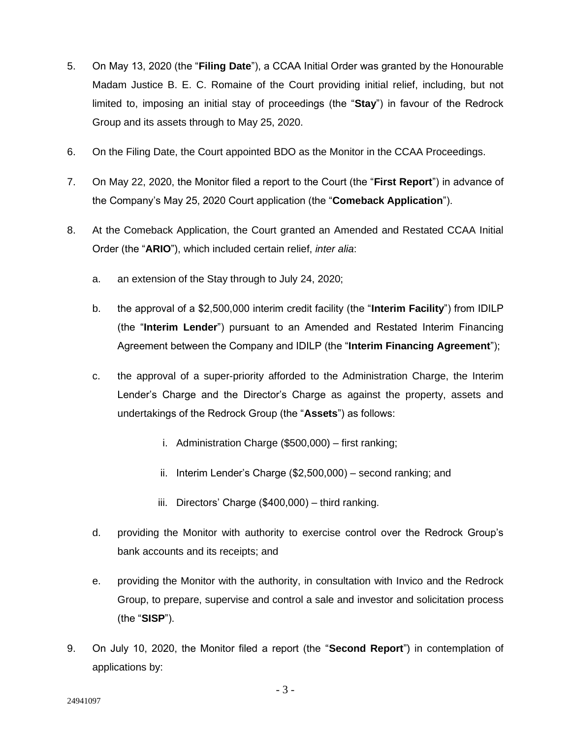- 5. On May 13, 2020 (the "**Filing Date**"), a CCAA Initial Order was granted by the Honourable Madam Justice B. E. C. Romaine of the Court providing initial relief, including, but not limited to, imposing an initial stay of proceedings (the "**Stay**") in favour of the Redrock Group and its assets through to May 25, 2020.
- 6. On the Filing Date, the Court appointed BDO as the Monitor in the CCAA Proceedings.
- 7. On May 22, 2020, the Monitor filed a report to the Court (the "**First Report**") in advance of the Company's May 25, 2020 Court application (the "**Comeback Application**").
- 8. At the Comeback Application, the Court granted an Amended and Restated CCAA Initial Order (the "**ARIO**"), which included certain relief, *inter alia*:
	- a. an extension of the Stay through to July 24, 2020;
	- b. the approval of a \$2,500,000 interim credit facility (the "**Interim Facility**") from IDILP (the "**Interim Lender**") pursuant to an Amended and Restated Interim Financing Agreement between the Company and IDILP (the "**Interim Financing Agreement**");
	- c. the approval of a super-priority afforded to the Administration Charge, the Interim Lender's Charge and the Director's Charge as against the property, assets and undertakings of the Redrock Group (the "**Assets**") as follows:
		- i. Administration Charge (\$500,000) first ranking;
		- ii. Interim Lender's Charge (\$2,500,000) second ranking; and
		- iii. Directors' Charge (\$400,000) third ranking.
	- d. providing the Monitor with authority to exercise control over the Redrock Group's bank accounts and its receipts; and
	- e. providing the Monitor with the authority, in consultation with Invico and the Redrock Group, to prepare, supervise and control a sale and investor and solicitation process (the "**SISP**").
- 9. On July 10, 2020, the Monitor filed a report (the "**Second Report**") in contemplation of applications by: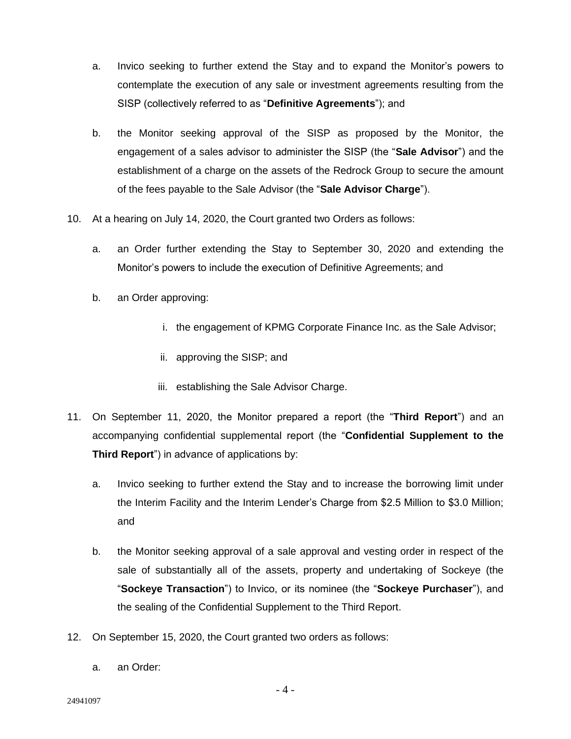- a. Invico seeking to further extend the Stay and to expand the Monitor's powers to contemplate the execution of any sale or investment agreements resulting from the SISP (collectively referred to as "**Definitive Agreements**"); and
- b. the Monitor seeking approval of the SISP as proposed by the Monitor, the engagement of a sales advisor to administer the SISP (the "**Sale Advisor**") and the establishment of a charge on the assets of the Redrock Group to secure the amount of the fees payable to the Sale Advisor (the "**Sale Advisor Charge**").
- 10. At a hearing on July 14, 2020, the Court granted two Orders as follows:
	- a. an Order further extending the Stay to September 30, 2020 and extending the Monitor's powers to include the execution of Definitive Agreements; and
	- b. an Order approving:
		- i. the engagement of KPMG Corporate Finance Inc. as the Sale Advisor;
		- ii. approving the SISP; and
		- iii. establishing the Sale Advisor Charge.
- 11. On September 11, 2020, the Monitor prepared a report (the "**Third Report**") and an accompanying confidential supplemental report (the "**Confidential Supplement to the Third Report**") in advance of applications by:
	- a. Invico seeking to further extend the Stay and to increase the borrowing limit under the Interim Facility and the Interim Lender's Charge from \$2.5 Million to \$3.0 Million; and
	- b. the Monitor seeking approval of a sale approval and vesting order in respect of the sale of substantially all of the assets, property and undertaking of Sockeye (the "**Sockeye Transaction**") to Invico, or its nominee (the "**Sockeye Purchaser**"), and the sealing of the Confidential Supplement to the Third Report.
- 12. On September 15, 2020, the Court granted two orders as follows:
	- a. an Order: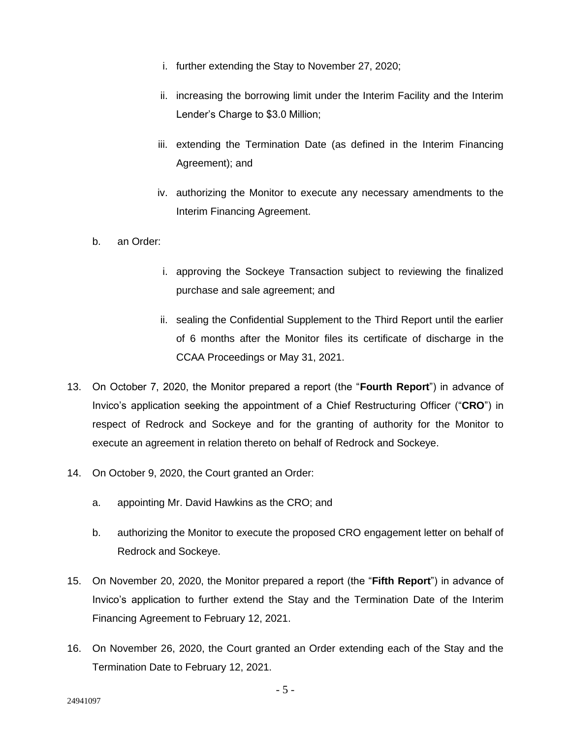- i. further extending the Stay to November 27, 2020;
- ii. increasing the borrowing limit under the Interim Facility and the Interim Lender's Charge to \$3.0 Million;
- iii. extending the Termination Date (as defined in the Interim Financing Agreement); and
- iv. authorizing the Monitor to execute any necessary amendments to the Interim Financing Agreement.
- b. an Order:
	- i. approving the Sockeye Transaction subject to reviewing the finalized purchase and sale agreement; and
	- ii. sealing the Confidential Supplement to the Third Report until the earlier of 6 months after the Monitor files its certificate of discharge in the CCAA Proceedings or May 31, 2021.
- 13. On October 7, 2020, the Monitor prepared a report (the "**Fourth Report**") in advance of Invico's application seeking the appointment of a Chief Restructuring Officer ("**CRO**") in respect of Redrock and Sockeye and for the granting of authority for the Monitor to execute an agreement in relation thereto on behalf of Redrock and Sockeye.
- 14. On October 9, 2020, the Court granted an Order:
	- a. appointing Mr. David Hawkins as the CRO; and
	- b. authorizing the Monitor to execute the proposed CRO engagement letter on behalf of Redrock and Sockeye.
- 15. On November 20, 2020, the Monitor prepared a report (the "**Fifth Report**") in advance of Invico's application to further extend the Stay and the Termination Date of the Interim Financing Agreement to February 12, 2021.
- 16. On November 26, 2020, the Court granted an Order extending each of the Stay and the Termination Date to February 12, 2021.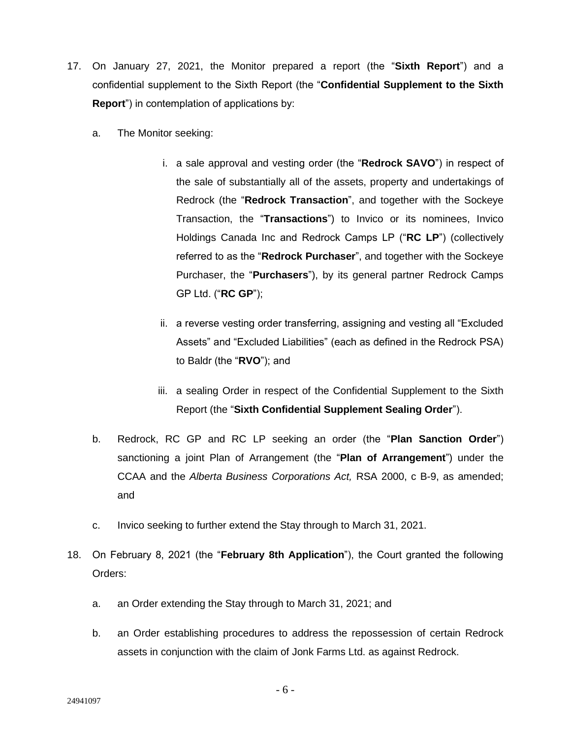- 17. On January 27, 2021, the Monitor prepared a report (the "**Sixth Report**") and a confidential supplement to the Sixth Report (the "**Confidential Supplement to the Sixth Report**") in contemplation of applications by:
	- a. The Monitor seeking:
		- i. a sale approval and vesting order (the "**Redrock SAVO**") in respect of the sale of substantially all of the assets, property and undertakings of Redrock (the "**Redrock Transaction**", and together with the Sockeye Transaction, the "**Transactions**") to Invico or its nominees, Invico Holdings Canada Inc and Redrock Camps LP ("**RC LP**") (collectively referred to as the "**Redrock Purchaser**", and together with the Sockeye Purchaser, the "**Purchasers**"), by its general partner Redrock Camps GP Ltd. ("**RC GP**");
		- ii. a reverse vesting order transferring, assigning and vesting all "Excluded Assets" and "Excluded Liabilities" (each as defined in the Redrock PSA) to Baldr (the "**RVO**"); and
		- iii. a sealing Order in respect of the Confidential Supplement to the Sixth Report (the "**Sixth Confidential Supplement Sealing Order**").
	- b. Redrock, RC GP and RC LP seeking an order (the "**Plan Sanction Order**") sanctioning a joint Plan of Arrangement (the "**Plan of Arrangement**") under the CCAA and the *Alberta Business Corporations Act,* RSA 2000, c B-9, as amended; and
	- c. Invico seeking to further extend the Stay through to March 31, 2021.
- 18. On February 8, 2021 (the "**February 8th Application**"), the Court granted the following Orders:
	- a. an Order extending the Stay through to March 31, 2021; and
	- b. an Order establishing procedures to address the repossession of certain Redrock assets in conjunction with the claim of Jonk Farms Ltd. as against Redrock.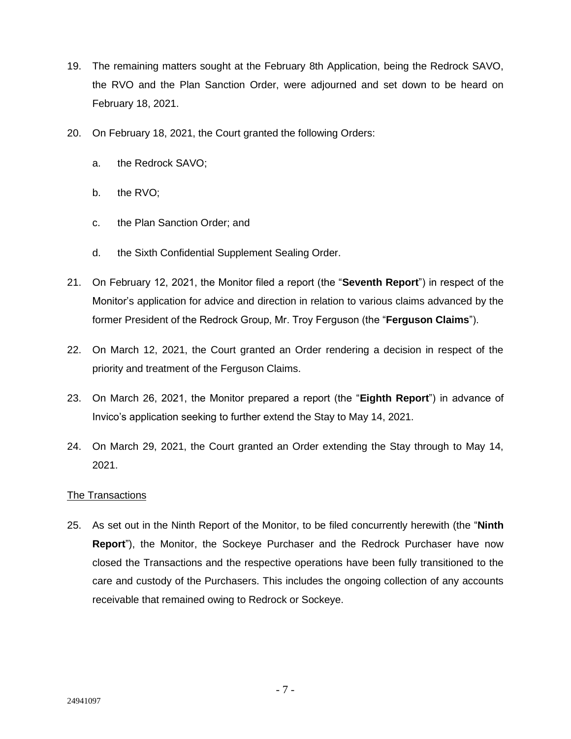- 19. The remaining matters sought at the February 8th Application, being the Redrock SAVO, the RVO and the Plan Sanction Order, were adjourned and set down to be heard on February 18, 2021.
- 20. On February 18, 2021, the Court granted the following Orders:
	- a. the Redrock SAVO;
	- b. the RVO;
	- c. the Plan Sanction Order; and
	- d. the Sixth Confidential Supplement Sealing Order.
- 21. On February 12, 2021, the Monitor filed a report (the "**Seventh Report**") in respect of the Monitor's application for advice and direction in relation to various claims advanced by the former President of the Redrock Group, Mr. Troy Ferguson (the "**Ferguson Claims**").
- 22. On March 12, 2021, the Court granted an Order rendering a decision in respect of the priority and treatment of the Ferguson Claims.
- 23. On March 26, 2021, the Monitor prepared a report (the "**Eighth Report**") in advance of Invico's application seeking to further extend the Stay to May 14, 2021.
- 24. On March 29, 2021, the Court granted an Order extending the Stay through to May 14, 2021.

### The Transactions

25. As set out in the Ninth Report of the Monitor, to be filed concurrently herewith (the "**Ninth Report**"), the Monitor, the Sockeye Purchaser and the Redrock Purchaser have now closed the Transactions and the respective operations have been fully transitioned to the care and custody of the Purchasers. This includes the ongoing collection of any accounts receivable that remained owing to Redrock or Sockeye.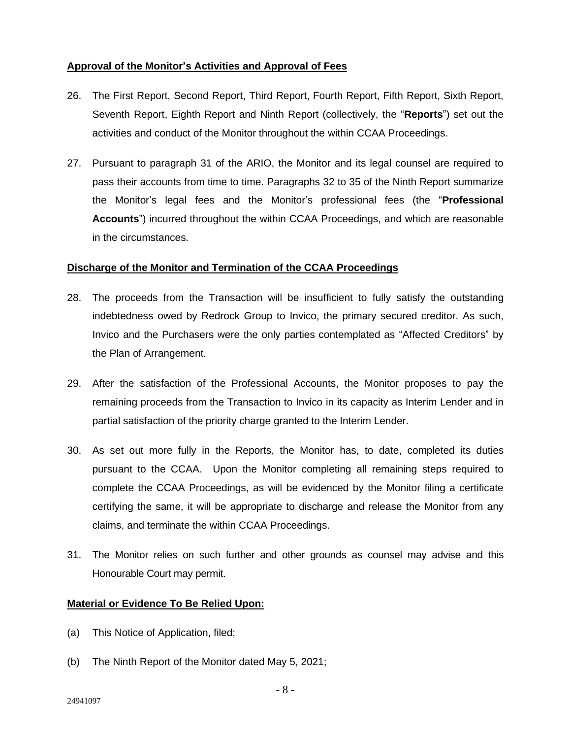## **Approval of the Monitor's Activities and Approval of Fees**

- 26. The First Report, Second Report, Third Report, Fourth Report, Fifth Report, Sixth Report, Seventh Report, Eighth Report and Ninth Report (collectively, the "**Reports**") set out the activities and conduct of the Monitor throughout the within CCAA Proceedings.
- 27. Pursuant to paragraph 31 of the ARIO, the Monitor and its legal counsel are required to pass their accounts from time to time. Paragraphs 32 to 35 of the Ninth Report summarize the Monitor's legal fees and the Monitor's professional fees (the "**Professional Accounts**") incurred throughout the within CCAA Proceedings, and which are reasonable in the circumstances.

### **Discharge of the Monitor and Termination of the CCAA Proceedings**

- 28. The proceeds from the Transaction will be insufficient to fully satisfy the outstanding indebtedness owed by Redrock Group to Invico, the primary secured creditor. As such, Invico and the Purchasers were the only parties contemplated as "Affected Creditors" by the Plan of Arrangement.
- 29. After the satisfaction of the Professional Accounts, the Monitor proposes to pay the remaining proceeds from the Transaction to Invico in its capacity as Interim Lender and in partial satisfaction of the priority charge granted to the Interim Lender.
- 30. As set out more fully in the Reports, the Monitor has, to date, completed its duties pursuant to the CCAA. Upon the Monitor completing all remaining steps required to complete the CCAA Proceedings, as will be evidenced by the Monitor filing a certificate certifying the same, it will be appropriate to discharge and release the Monitor from any claims, and terminate the within CCAA Proceedings.
- 31. The Monitor relies on such further and other grounds as counsel may advise and this Honourable Court may permit.

### **Material or Evidence To Be Relied Upon:**

- (a) This Notice of Application, filed;
- (b) The Ninth Report of the Monitor dated May 5, 2021;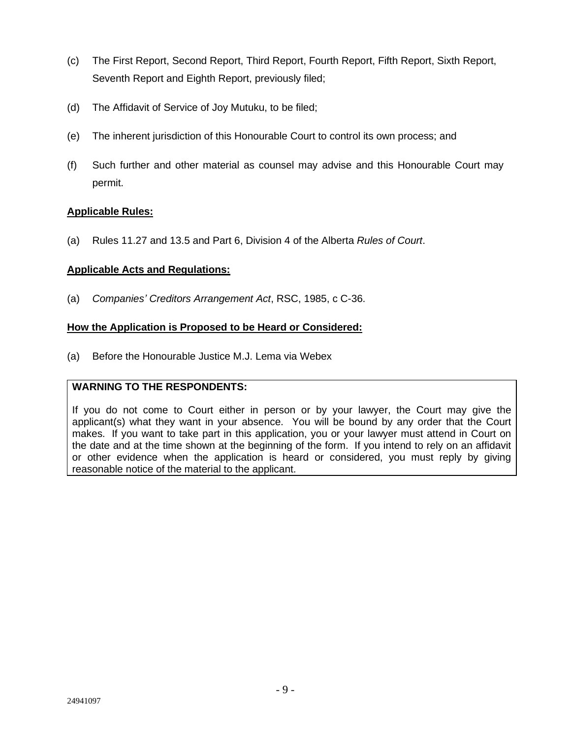- (c) The First Report, Second Report, Third Report, Fourth Report, Fifth Report, Sixth Report, Seventh Report and Eighth Report, previously filed;
- (d) The Affidavit of Service of Joy Mutuku, to be filed;
- (e) The inherent jurisdiction of this Honourable Court to control its own process; and
- (f) Such further and other material as counsel may advise and this Honourable Court may permit.

## **Applicable Rules:**

(a) Rules 11.27 and 13.5 and Part 6, Division 4 of the Alberta *Rules of Court*.

### **Applicable Acts and Regulations:**

(a) *Companies' Creditors Arrangement Act*, RSC, 1985, c C-36.

### **How the Application is Proposed to be Heard or Considered:**

(a) Before the Honourable Justice M.J. Lema via Webex

### **WARNING TO THE RESPONDENTS:**

If you do not come to Court either in person or by your lawyer, the Court may give the applicant(s) what they want in your absence. You will be bound by any order that the Court makes. If you want to take part in this application, you or your lawyer must attend in Court on the date and at the time shown at the beginning of the form. If you intend to rely on an affidavit or other evidence when the application is heard or considered, you must reply by giving reasonable notice of the material to the applicant.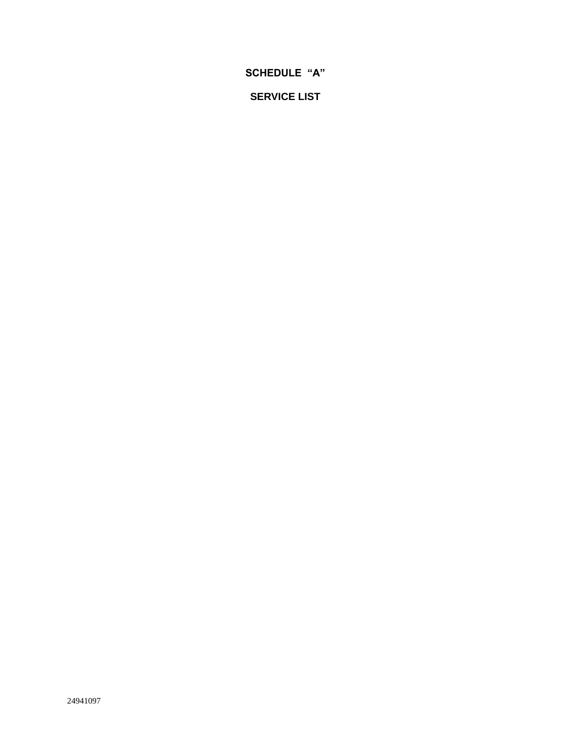**SCHEDULE "A"** 

**SERVICE LIST**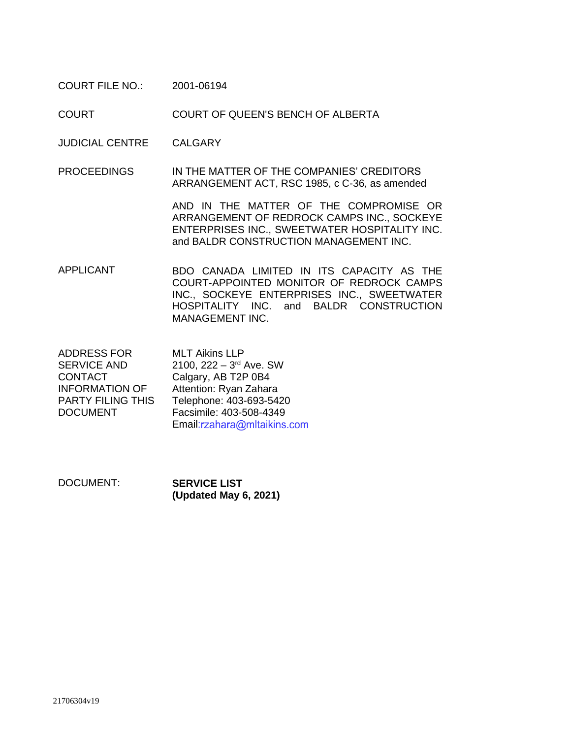COURT FILE NO.: 2001-06194

COURT COURT OF QUEEN'S BENCH OF ALBERTA

JUDICIAL CENTRE CALGARY

PROCEEDINGS IN THE MATTER OF THE COMPANIES' CREDITORS ARRANGEMENT ACT, RSC 1985, c C-36, as amended

> AND IN THE MATTER OF THE COMPROMISE OR ARRANGEMENT OF REDROCK CAMPS INC., SOCKEYE ENTERPRISES INC., SWEETWATER HOSPITALITY INC. and BALDR CONSTRUCTION MANAGEMENT INC.

APPLICANT BDO CANADA LIMITED IN ITS CAPACITY AS THE COURT-APPOINTED MONITOR OF REDROCK CAMPS INC., SOCKEYE ENTERPRISES INC., SWEETWATER HOSPITALITY INC. and BALDR CONSTRUCTION MANAGEMENT INC.

ADDRESS FOR SERVICE AND CONTACT INFORMATION OF PARTY FILING THIS DOCUMENT MLT Aikins LLP 2100, 222 – 3<sup>rd</sup> Ave. SW Calgary, AB T2P 0B4 Attention: Ryan Zahara Telephone: 403-693-5420 Facsimile: 403-508-4349 Email[:](mailto:rzahara@mltaikins.com)rzahara@mltaikins.com

DOCUMENT: **SERVICE LIST (Updated May 6, 2021)**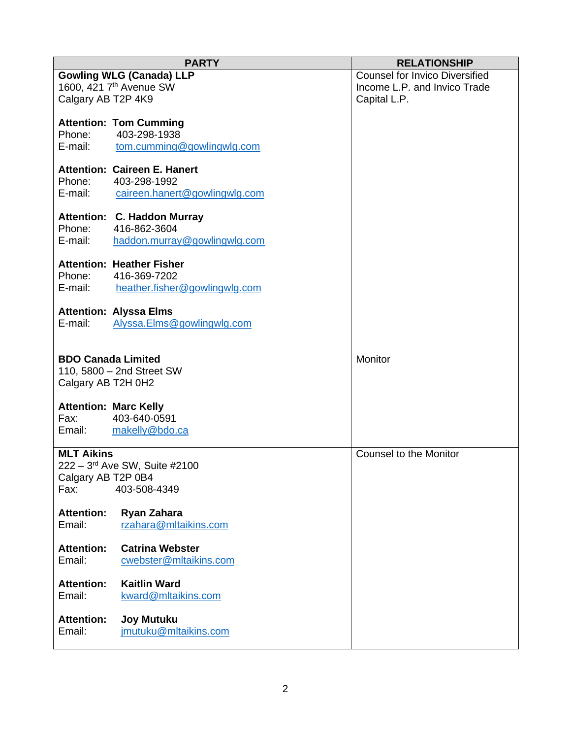|                              | <b>PARTY</b>                                  | <b>RELATIONSHIP</b>                   |
|------------------------------|-----------------------------------------------|---------------------------------------|
|                              | <b>Gowling WLG (Canada) LLP</b>               | <b>Counsel for Invico Diversified</b> |
|                              | 1600, 421 7 <sup>th</sup> Avenue SW           | Income L.P. and Invico Trade          |
| Calgary AB T2P 4K9           |                                               | Capital L.P.                          |
|                              |                                               |                                       |
| Phone:                       | <b>Attention: Tom Cumming</b><br>403-298-1938 |                                       |
| E-mail:                      | tom.cumming@gowlingwlg.com                    |                                       |
|                              |                                               |                                       |
|                              | <b>Attention: Caireen E. Hanert</b>           |                                       |
| Phone:                       | 403-298-1992                                  |                                       |
| E-mail:                      | caireen.hanert@gowlingwlg.com                 |                                       |
|                              |                                               |                                       |
|                              | Attention: C. Haddon Murray                   |                                       |
| Phone:                       | 416-862-3604                                  |                                       |
| E-mail:                      | haddon.murray@gowlingwlg.com                  |                                       |
|                              | <b>Attention: Heather Fisher</b>              |                                       |
| Phone:                       | 416-369-7202                                  |                                       |
| E-mail:                      | heather.fisher@gowlingwlg.com                 |                                       |
|                              |                                               |                                       |
|                              | <b>Attention: Alyssa Elms</b>                 |                                       |
| E-mail:                      | Alyssa.Elms@gowlingwlg.com                    |                                       |
|                              |                                               |                                       |
| <b>BDO Canada Limited</b>    |                                               | Monitor                               |
|                              | 110, 5800 - 2nd Street SW                     |                                       |
| Calgary AB T2H 0H2           |                                               |                                       |
|                              |                                               |                                       |
| <b>Attention: Marc Kelly</b> |                                               |                                       |
| Fax:                         | 403-640-0591                                  |                                       |
| Email:                       | makelly@bdo.ca                                |                                       |
|                              |                                               |                                       |
| <b>MLT Aikins</b>            |                                               | <b>Counsel to the Monitor</b>         |
| Calgary AB T2P 0B4           | 222 - 3rd Ave SW, Suite #2100                 |                                       |
| Fax:                         | 403-508-4349                                  |                                       |
|                              |                                               |                                       |
| <b>Attention:</b>            | Ryan Zahara                                   |                                       |
| Email:                       | rzahara@mltaikins.com                         |                                       |
|                              |                                               |                                       |
| <b>Attention:</b>            | <b>Catrina Webster</b>                        |                                       |
| Email:                       | cwebster@mltaikins.com                        |                                       |
| <b>Attention:</b>            | <b>Kaitlin Ward</b>                           |                                       |
| Email:                       | kward@mltaikins.com                           |                                       |
|                              |                                               |                                       |
| <b>Attention:</b>            | <b>Joy Mutuku</b>                             |                                       |
| Email:                       | jmutuku@mltaikins.com                         |                                       |
|                              |                                               |                                       |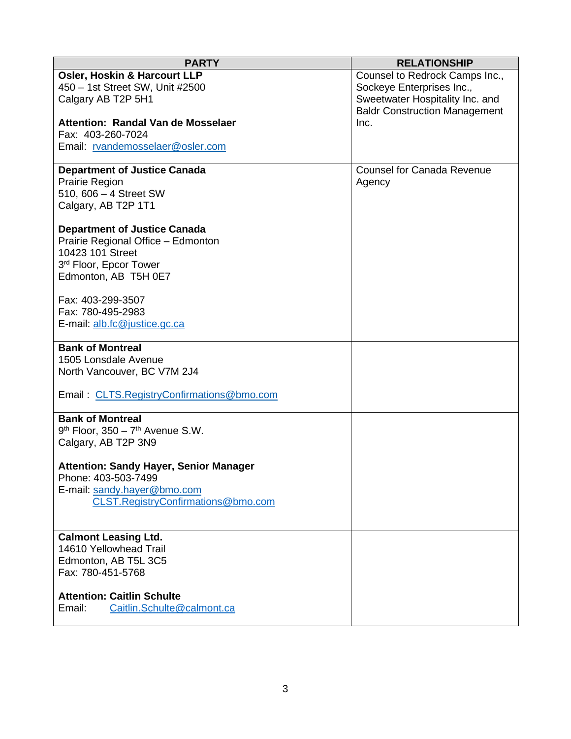| <b>PARTY</b>                                                    | <b>RELATIONSHIP</b>                  |
|-----------------------------------------------------------------|--------------------------------------|
| <b>Osler, Hoskin &amp; Harcourt LLP</b>                         | Counsel to Redrock Camps Inc.,       |
| 450 - 1st Street SW, Unit #2500                                 | Sockeye Enterprises Inc.,            |
| Calgary AB T2P 5H1                                              | Sweetwater Hospitality Inc. and      |
|                                                                 | <b>Baldr Construction Management</b> |
| Attention: Randal Van de Mosselaer                              | Inc.                                 |
| Fax: 403-260-7024                                               |                                      |
| Email: rvandemosselaer@osler.com                                |                                      |
|                                                                 |                                      |
| <b>Department of Justice Canada</b>                             | <b>Counsel for Canada Revenue</b>    |
| <b>Prairie Region</b>                                           | Agency                               |
| 510, 606 - 4 Street SW<br>Calgary, AB T2P 1T1                   |                                      |
|                                                                 |                                      |
| <b>Department of Justice Canada</b>                             |                                      |
| Prairie Regional Office - Edmonton                              |                                      |
| 10423 101 Street                                                |                                      |
| 3 <sup>rd</sup> Floor, Epcor Tower                              |                                      |
| Edmonton, AB T5H 0E7                                            |                                      |
|                                                                 |                                      |
| Fax: 403-299-3507                                               |                                      |
| Fax: 780-495-2983                                               |                                      |
| E-mail: alb.fc@justice.gc.ca                                    |                                      |
|                                                                 |                                      |
| <b>Bank of Montreal</b>                                         |                                      |
| 1505 Lonsdale Avenue                                            |                                      |
| North Vancouver, BC V7M 2J4                                     |                                      |
|                                                                 |                                      |
| Email: CLTS.RegistryConfirmations@bmo.com                       |                                      |
|                                                                 |                                      |
| <b>Bank of Montreal</b><br>$9th$ Floor, 350 - $7th$ Avenue S.W. |                                      |
| Calgary, AB T2P 3N9                                             |                                      |
|                                                                 |                                      |
| <b>Attention: Sandy Hayer, Senior Manager</b>                   |                                      |
| Phone: 403-503-7499                                             |                                      |
| E-mail: sandy.hayer@bmo.com                                     |                                      |
| CLST.RegistryConfirmations@bmo.com                              |                                      |
|                                                                 |                                      |
|                                                                 |                                      |
| <b>Calmont Leasing Ltd.</b>                                     |                                      |
| 14610 Yellowhead Trail                                          |                                      |
| Edmonton, AB T5L 3C5                                            |                                      |
| Fax: 780-451-5768                                               |                                      |
|                                                                 |                                      |
| <b>Attention: Caitlin Schulte</b>                               |                                      |
| Caitlin.Schulte@calmont.ca<br>Email:                            |                                      |
|                                                                 |                                      |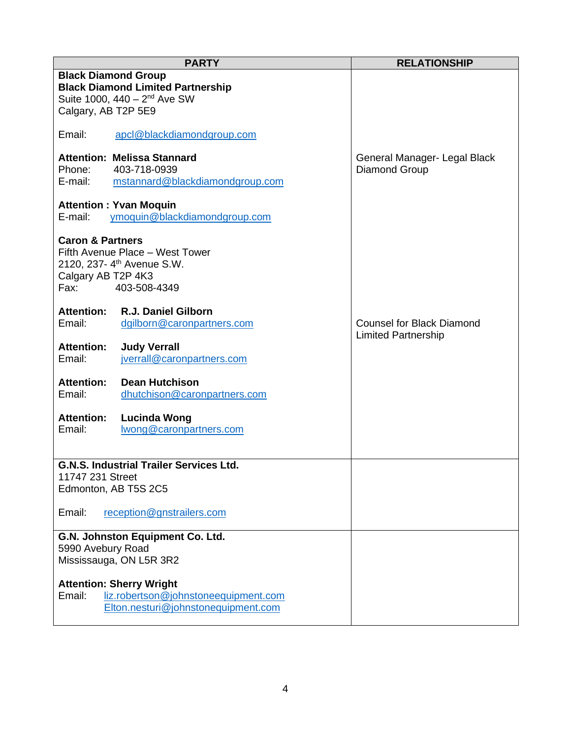| <b>PARTY</b>                                                                                                                                                       | <b>RELATIONSHIP</b>                                            |
|--------------------------------------------------------------------------------------------------------------------------------------------------------------------|----------------------------------------------------------------|
| <b>Black Diamond Group</b><br><b>Black Diamond Limited Partnership</b><br>Suite 1000, 440 - 2 <sup>nd</sup> Ave SW<br>Calgary, AB T2P 5E9                          |                                                                |
| Email:<br>apcl@blackdiamondgroup.com                                                                                                                               |                                                                |
| <b>Attention: Melissa Stannard</b><br>Phone:<br>403-718-0939<br>E-mail:<br>mstannard@blackdiamondgroup.com                                                         | General Manager- Legal Black<br>Diamond Group                  |
| <b>Attention: Yvan Moquin</b><br>E-mail:<br>ymoguin@blackdiamondgroup.com                                                                                          |                                                                |
| <b>Caron &amp; Partners</b><br>Fifth Avenue Place - West Tower<br>2120, 237-4 <sup>th</sup> Avenue S.W.<br>Calgary AB T2P 4K3<br>Fax: The Research<br>403-508-4349 |                                                                |
| R.J. Daniel Gilborn<br><b>Attention:</b><br>Email:<br>dgilborn@caronpartners.com                                                                                   | <b>Counsel for Black Diamond</b><br><b>Limited Partnership</b> |
| <b>Attention:</b><br><b>Judy Verrall</b><br>Email:<br>jverrall@caronpartners.com                                                                                   |                                                                |
| <b>Dean Hutchison</b><br><b>Attention:</b><br>Email:<br>dhutchison@caronpartners.com                                                                               |                                                                |
| <b>Attention:</b><br><b>Lucinda Wong</b><br>Email:<br>wong@caronpartners.com                                                                                       |                                                                |
| <b>G.N.S. Industrial Trailer Services Ltd.</b><br>11747 231 Street<br>Edmonton, AB T5S 2C5                                                                         |                                                                |
| Email:<br>reception@gnstrailers.com                                                                                                                                |                                                                |
| G.N. Johnston Equipment Co. Ltd.<br>5990 Avebury Road<br>Mississauga, ON L5R 3R2                                                                                   |                                                                |
| <b>Attention: Sherry Wright</b><br>Email:<br>liz.robertson@johnstoneequipment.com<br>Elton.nesturi@johnstonequipment.com                                           |                                                                |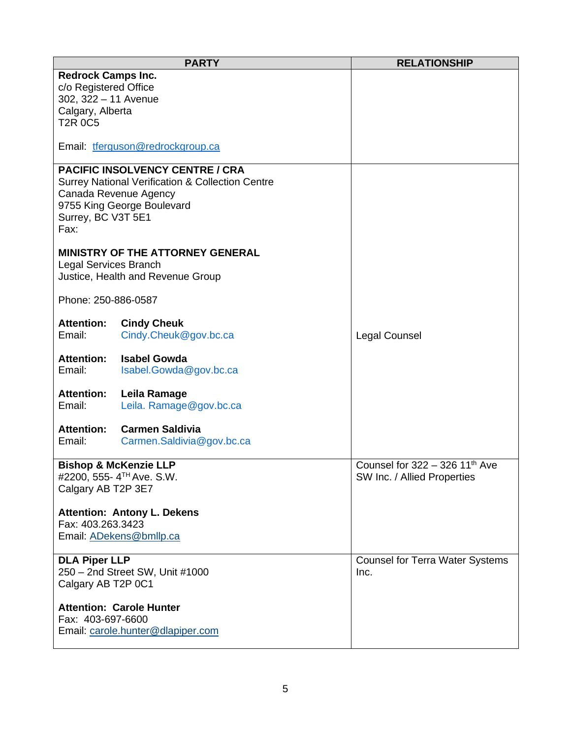|                                                                                                                  | <b>PARTY</b>                                                                                                                                                 | <b>RELATIONSHIP</b>                                                         |
|------------------------------------------------------------------------------------------------------------------|--------------------------------------------------------------------------------------------------------------------------------------------------------------|-----------------------------------------------------------------------------|
| <b>Redrock Camps Inc.</b><br>c/o Registered Office<br>302, 322 - 11 Avenue<br>Calgary, Alberta<br><b>T2R 0C5</b> |                                                                                                                                                              |                                                                             |
|                                                                                                                  | Email: tferguson@redrockgroup.ca                                                                                                                             |                                                                             |
| Surrey, BC V3T 5E1<br>Fax:                                                                                       | <b>PACIFIC INSOLVENCY CENTRE / CRA</b><br><b>Surrey National Verification &amp; Collection Centre</b><br>Canada Revenue Agency<br>9755 King George Boulevard |                                                                             |
| <b>Legal Services Branch</b>                                                                                     | MINISTRY OF THE ATTORNEY GENERAL<br>Justice, Health and Revenue Group                                                                                        |                                                                             |
| Phone: 250-886-0587                                                                                              |                                                                                                                                                              |                                                                             |
| <b>Attention:</b><br>Email:                                                                                      | <b>Cindy Cheuk</b><br>Cindy.Cheuk@gov.bc.ca                                                                                                                  | Legal Counsel                                                               |
| <b>Attention:</b><br>Email:                                                                                      | <b>Isabel Gowda</b><br>Isabel.Gowda@gov.bc.ca                                                                                                                |                                                                             |
| <b>Attention:</b><br>Email:                                                                                      | Leila Ramage<br>Leila. Ramage@gov.bc.ca                                                                                                                      |                                                                             |
| <b>Attention:</b><br>Email:                                                                                      | <b>Carmen Saldivia</b><br>Carmen.Saldivia@gov.bc.ca                                                                                                          |                                                                             |
| Calgary AB T2P 3E7                                                                                               | <b>Bishop &amp; McKenzie LLP</b><br>#2200, 555- 4 <sup>TH</sup> Ave. S.W.                                                                                    | Counsel for $322 - 326$ 11 <sup>th</sup> Ave<br>SW Inc. / Allied Properties |
| Fax: 403.263.3423                                                                                                | <b>Attention: Antony L. Dekens</b><br>Email: ADekens@bmllp.ca                                                                                                |                                                                             |
| <b>DLA Piper LLP</b><br>Calgary AB T2P 0C1                                                                       | 250 - 2nd Street SW, Unit #1000                                                                                                                              | <b>Counsel for Terra Water Systems</b><br>Inc.                              |
| Fax: 403-697-6600                                                                                                | <b>Attention: Carole Hunter</b><br>Email: carole.hunter@dlapiper.com                                                                                         |                                                                             |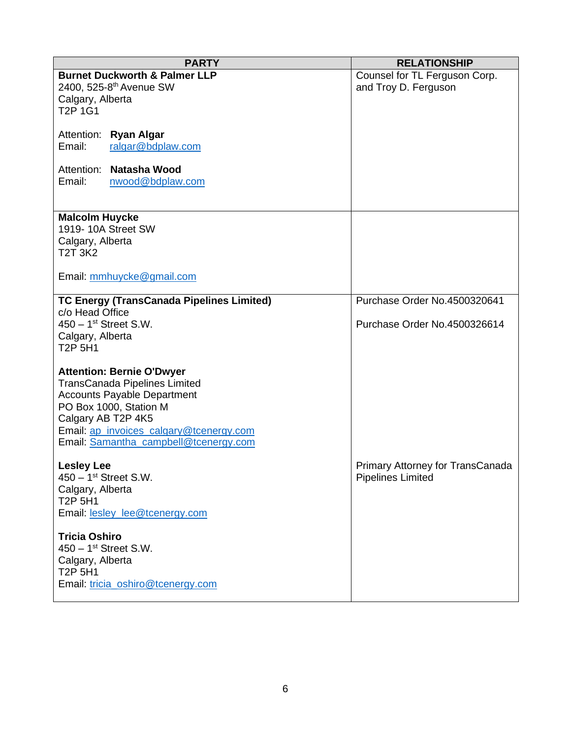| <b>PARTY</b>                                     | <b>RELATIONSHIP</b>              |
|--------------------------------------------------|----------------------------------|
| <b>Burnet Duckworth &amp; Palmer LLP</b>         | Counsel for TL Ferguson Corp.    |
| 2400, 525-8 <sup>th</sup> Avenue SW              | and Troy D. Ferguson             |
| Calgary, Alberta                                 |                                  |
| T <sub>2</sub> P 1G1                             |                                  |
|                                                  |                                  |
| Attention: Ryan Algar                            |                                  |
| Email:<br>ralgar@bdplaw.com                      |                                  |
|                                                  |                                  |
| Attention: Natasha Wood                          |                                  |
| Email:<br>nwood@bdplaw.com                       |                                  |
|                                                  |                                  |
| <b>Malcolm Huycke</b>                            |                                  |
| 1919-10A Street SW                               |                                  |
| Calgary, Alberta                                 |                                  |
| <b>T2T 3K2</b>                                   |                                  |
|                                                  |                                  |
| Email: mmhuycke@gmail.com                        |                                  |
|                                                  |                                  |
| <b>TC Energy (TransCanada Pipelines Limited)</b> | Purchase Order No.4500320641     |
| c/o Head Office                                  |                                  |
| $450 - 1$ <sup>st</sup> Street S.W.              | Purchase Order No.4500326614     |
| Calgary, Alberta                                 |                                  |
| T <sub>2</sub> P <sub>5</sub> H <sub>1</sub>     |                                  |
| <b>Attention: Bernie O'Dwyer</b>                 |                                  |
| <b>TransCanada Pipelines Limited</b>             |                                  |
| <b>Accounts Payable Department</b>               |                                  |
| PO Box 1000, Station M                           |                                  |
| Calgary AB T2P 4K5                               |                                  |
| Email: ap invoices calgary@tcenergy.com          |                                  |
| Email: Samantha_campbell@tcenergy.com            |                                  |
|                                                  |                                  |
| <b>Lesley Lee</b>                                | Primary Attorney for TransCanada |
| $450 - 1$ <sup>st</sup> Street S.W.              | <b>Pipelines Limited</b>         |
| Calgary, Alberta                                 |                                  |
| T <sub>2</sub> P <sub>5H1</sub>                  |                                  |
| Email: lesley lee@tcenergy.com                   |                                  |
| <b>Tricia Oshiro</b>                             |                                  |
| $450 - 1$ <sup>st</sup> Street S.W.              |                                  |
| Calgary, Alberta                                 |                                  |
| T2P 5H1                                          |                                  |
| Email: tricia_oshiro@tcenergy.com                |                                  |
|                                                  |                                  |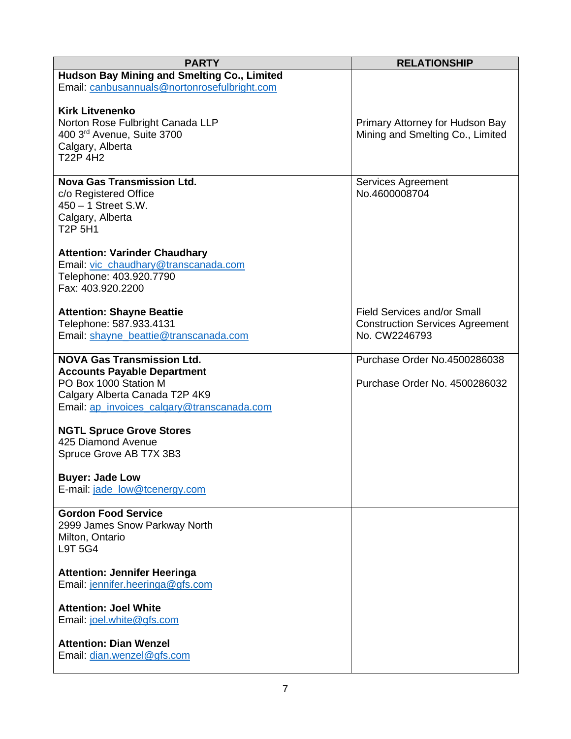| <b>PARTY</b>                                          | <b>RELATIONSHIP</b>                    |
|-------------------------------------------------------|----------------------------------------|
| Hudson Bay Mining and Smelting Co., Limited           |                                        |
| Email: canbusannuals@nortonrosefulbright.com          |                                        |
|                                                       |                                        |
| <b>Kirk Litvenenko</b>                                |                                        |
| Norton Rose Fulbright Canada LLP                      | Primary Attorney for Hudson Bay        |
| 400 3rd Avenue, Suite 3700                            | Mining and Smelting Co., Limited       |
| Calgary, Alberta                                      |                                        |
| T22P 4H2                                              |                                        |
|                                                       |                                        |
| <b>Nova Gas Transmission Ltd.</b>                     | Services Agreement                     |
| c/o Registered Office                                 | No.4600008704                          |
| 450 - 1 Street S.W.                                   |                                        |
| Calgary, Alberta                                      |                                        |
| T <sub>2</sub> P <sub>5</sub> H <sub>1</sub>          |                                        |
|                                                       |                                        |
| <b>Attention: Varinder Chaudhary</b>                  |                                        |
| Email: vic_chaudhary@transcanada.com                  |                                        |
| Telephone: 403.920.7790                               |                                        |
| Fax: 403.920.2200                                     |                                        |
|                                                       |                                        |
| <b>Attention: Shayne Beattie</b>                      | <b>Field Services and/or Small</b>     |
| Telephone: 587.933.4131                               | <b>Construction Services Agreement</b> |
| Email: shayne_beattie@transcanada.com                 | No. CW2246793                          |
|                                                       |                                        |
| <b>NOVA Gas Transmission Ltd.</b>                     | Purchase Order No.4500286038           |
| <b>Accounts Payable Department</b>                    |                                        |
| PO Box 1000 Station M                                 | Purchase Order No. 4500286032          |
| Calgary Alberta Canada T2P 4K9                        |                                        |
| Email: ap_invoices_calgary@transcanada.com            |                                        |
|                                                       |                                        |
| <b>NGTL Spruce Grove Stores</b><br>425 Diamond Avenue |                                        |
| Spruce Grove AB T7X 3B3                               |                                        |
|                                                       |                                        |
| <b>Buyer: Jade Low</b>                                |                                        |
| E-mail: jade_low@tcenergy.com                         |                                        |
|                                                       |                                        |
| <b>Gordon Food Service</b>                            |                                        |
| 2999 James Snow Parkway North                         |                                        |
| Milton, Ontario                                       |                                        |
| L9T 5G4                                               |                                        |
|                                                       |                                        |
| <b>Attention: Jennifer Heeringa</b>                   |                                        |
| Email: jennifer.heeringa@gfs.com                      |                                        |
|                                                       |                                        |
| <b>Attention: Joel White</b>                          |                                        |
| Email: joel.white@gfs.com                             |                                        |
|                                                       |                                        |
| <b>Attention: Dian Wenzel</b>                         |                                        |
| Email: dian.wenzel@gfs.com                            |                                        |
|                                                       |                                        |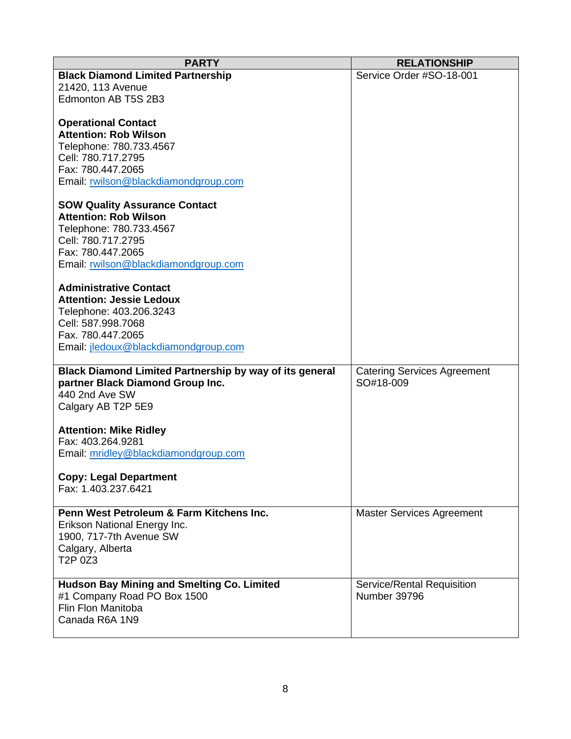| <b>PARTY</b>                                                   | <b>RELATIONSHIP</b>                             |
|----------------------------------------------------------------|-------------------------------------------------|
| <b>Black Diamond Limited Partnership</b>                       | Service Order #SO-18-001                        |
| 21420, 113 Avenue                                              |                                                 |
| Edmonton AB T5S 2B3                                            |                                                 |
|                                                                |                                                 |
| <b>Operational Contact</b>                                     |                                                 |
| <b>Attention: Rob Wilson</b>                                   |                                                 |
| Telephone: 780.733.4567                                        |                                                 |
| Cell: 780.717.2795                                             |                                                 |
| Fax: 780.447.2065                                              |                                                 |
| Email: rwilson@blackdiamondgroup.com                           |                                                 |
| <b>SOW Quality Assurance Contact</b>                           |                                                 |
| <b>Attention: Rob Wilson</b>                                   |                                                 |
| Telephone: 780.733.4567                                        |                                                 |
| Cell: 780.717.2795                                             |                                                 |
| Fax: 780.447.2065                                              |                                                 |
| Email: rwilson@blackdiamondgroup.com                           |                                                 |
|                                                                |                                                 |
| <b>Administrative Contact</b>                                  |                                                 |
| <b>Attention: Jessie Ledoux</b>                                |                                                 |
| Telephone: 403.206.3243                                        |                                                 |
| Cell: 587.998.7068                                             |                                                 |
| Fax. 780.447.2065                                              |                                                 |
| Email: jledoux@blackdiamondgroup.com                           |                                                 |
| <b>Black Diamond Limited Partnership by way of its general</b> |                                                 |
| partner Black Diamond Group Inc.                               | <b>Catering Services Agreement</b><br>SO#18-009 |
| 440 2nd Ave SW                                                 |                                                 |
| Calgary AB T2P 5E9                                             |                                                 |
|                                                                |                                                 |
| <b>Attention: Mike Ridley</b>                                  |                                                 |
| Fax: 403.264.9281                                              |                                                 |
| Email: mridley@blackdiamondgroup.com                           |                                                 |
|                                                                |                                                 |
| <b>Copy: Legal Department</b>                                  |                                                 |
| Fax: 1.403.237.6421                                            |                                                 |
| Penn West Petroleum & Farm Kitchens Inc.                       | <b>Master Services Agreement</b>                |
| Erikson National Energy Inc.                                   |                                                 |
| 1900, 717-7th Avenue SW                                        |                                                 |
| Calgary, Alberta                                               |                                                 |
| T2P 0Z3                                                        |                                                 |
|                                                                |                                                 |
| <b>Hudson Bay Mining and Smelting Co. Limited</b>              | Service/Rental Requisition                      |
| #1 Company Road PO Box 1500                                    | Number 39796                                    |
| Flin Flon Manitoba                                             |                                                 |
| Canada R6A 1N9                                                 |                                                 |
|                                                                |                                                 |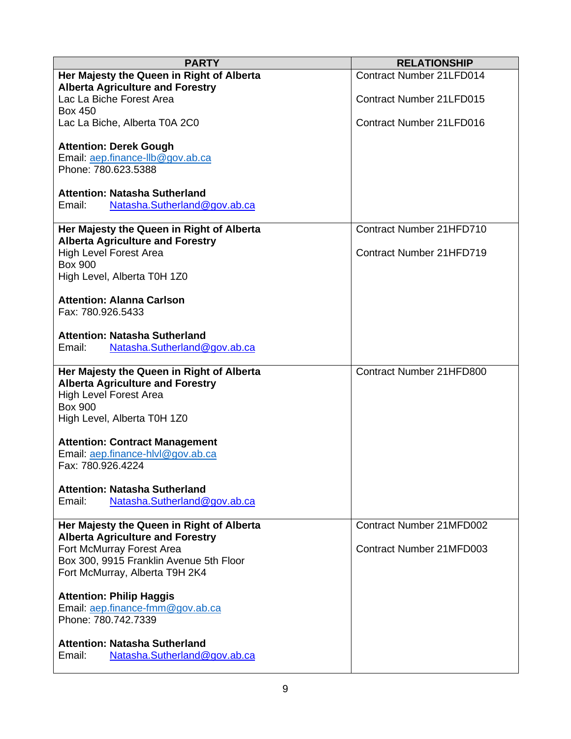| <b>PARTY</b>                                           | <b>RELATIONSHIP</b>             |
|--------------------------------------------------------|---------------------------------|
| Her Majesty the Queen in Right of Alberta              | Contract Number 21LFD014        |
| <b>Alberta Agriculture and Forestry</b>                |                                 |
| Lac La Biche Forest Area                               | <b>Contract Number 21LFD015</b> |
| <b>Box 450</b>                                         |                                 |
| Lac La Biche, Alberta T0A 2C0                          | <b>Contract Number 21LFD016</b> |
|                                                        |                                 |
| <b>Attention: Derek Gough</b>                          |                                 |
| Email: aep.finance-llb@gov.ab.ca                       |                                 |
| Phone: 780.623.5388                                    |                                 |
| <b>Attention: Natasha Sutherland</b>                   |                                 |
| Email:<br>Natasha.Sutherland@gov.ab.ca                 |                                 |
|                                                        |                                 |
| Her Majesty the Queen in Right of Alberta              | Contract Number 21HFD710        |
| <b>Alberta Agriculture and Forestry</b>                |                                 |
| <b>High Level Forest Area</b>                          | Contract Number 21HFD719        |
| <b>Box 900</b>                                         |                                 |
| High Level, Alberta T0H 1Z0                            |                                 |
|                                                        |                                 |
| <b>Attention: Alanna Carlson</b>                       |                                 |
| Fax: 780.926.5433                                      |                                 |
|                                                        |                                 |
| <b>Attention: Natasha Sutherland</b>                   |                                 |
| Email:<br>Natasha.Sutherland@gov.ab.ca                 |                                 |
|                                                        |                                 |
| Her Majesty the Queen in Right of Alberta              | Contract Number 21HFD800        |
| <b>Alberta Agriculture and Forestry</b>                |                                 |
| <b>High Level Forest Area</b>                          |                                 |
| <b>Box 900</b>                                         |                                 |
| High Level, Alberta T0H 1Z0                            |                                 |
|                                                        |                                 |
| <b>Attention: Contract Management</b>                  |                                 |
| Email: aep.finance-hlvl@gov.ab.ca<br>Fax: 780.926.4224 |                                 |
|                                                        |                                 |
| <b>Attention: Natasha Sutherland</b>                   |                                 |
| Email:<br>Natasha.Sutherland@gov.ab.ca                 |                                 |
|                                                        |                                 |
| Her Majesty the Queen in Right of Alberta              | <b>Contract Number 21MFD002</b> |
| <b>Alberta Agriculture and Forestry</b>                |                                 |
| Fort McMurray Forest Area                              | Contract Number 21MFD003        |
| Box 300, 9915 Franklin Avenue 5th Floor                |                                 |
| Fort McMurray, Alberta T9H 2K4                         |                                 |
|                                                        |                                 |
| <b>Attention: Philip Haggis</b>                        |                                 |
| Email: aep.finance-fmm@gov.ab.ca                       |                                 |
| Phone: 780.742.7339                                    |                                 |
|                                                        |                                 |
| <b>Attention: Natasha Sutherland</b>                   |                                 |
| Email:<br>Natasha.Sutherland@gov.ab.ca                 |                                 |
|                                                        |                                 |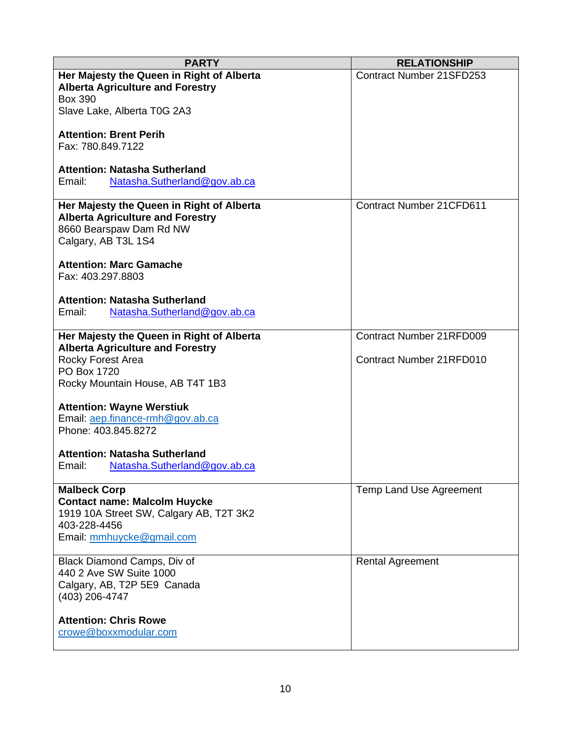| <b>PARTY</b>                              | <b>RELATIONSHIP</b>             |
|-------------------------------------------|---------------------------------|
| Her Majesty the Queen in Right of Alberta | <b>Contract Number 21SFD253</b> |
| <b>Alberta Agriculture and Forestry</b>   |                                 |
| <b>Box 390</b>                            |                                 |
| Slave Lake, Alberta T0G 2A3               |                                 |
|                                           |                                 |
| <b>Attention: Brent Perih</b>             |                                 |
| Fax: 780.849.7122                         |                                 |
| <b>Attention: Natasha Sutherland</b>      |                                 |
| Email:<br>Natasha.Sutherland@gov.ab.ca    |                                 |
|                                           |                                 |
| Her Majesty the Queen in Right of Alberta | <b>Contract Number 21CFD611</b> |
| <b>Alberta Agriculture and Forestry</b>   |                                 |
| 8660 Bearspaw Dam Rd NW                   |                                 |
| Calgary, AB T3L 1S4                       |                                 |
|                                           |                                 |
| <b>Attention: Marc Gamache</b>            |                                 |
| Fax: 403.297.8803                         |                                 |
| <b>Attention: Natasha Sutherland</b>      |                                 |
| Natasha.Sutherland@gov.ab.ca<br>Email:    |                                 |
|                                           |                                 |
| Her Majesty the Queen in Right of Alberta | <b>Contract Number 21RFD009</b> |
| <b>Alberta Agriculture and Forestry</b>   |                                 |
| Rocky Forest Area                         | <b>Contract Number 21RFD010</b> |
| PO Box 1720                               |                                 |
| Rocky Mountain House, AB T4T 1B3          |                                 |
|                                           |                                 |
| <b>Attention: Wayne Werstiuk</b>          |                                 |
| Email: aep.finance-rmh@gov.ab.ca          |                                 |
| Phone: 403.845.8272                       |                                 |
| <b>Attention: Natasha Sutherland</b>      |                                 |
| Email:<br>Natasha.Sutherland@gov.ab.ca    |                                 |
|                                           |                                 |
| <b>Malbeck Corp</b>                       | Temp Land Use Agreement         |
| <b>Contact name: Malcolm Huycke</b>       |                                 |
| 1919 10A Street SW, Calgary AB, T2T 3K2   |                                 |
| 403-228-4456                              |                                 |
| Email: mmhuycke@gmail.com                 |                                 |
|                                           |                                 |
| Black Diamond Camps, Div of               | <b>Rental Agreement</b>         |
| 440 2 Ave SW Suite 1000                   |                                 |
| Calgary, AB, T2P 5E9 Canada               |                                 |
| (403) 206-4747                            |                                 |
| <b>Attention: Chris Rowe</b>              |                                 |
| crowe@boxxmodular.com                     |                                 |
|                                           |                                 |
|                                           |                                 |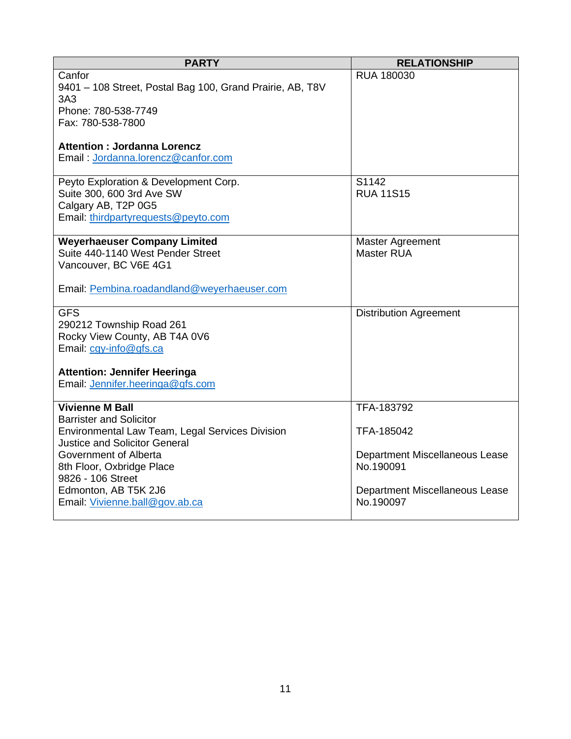| <b>PARTY</b>                                                                                                                                                                                                                                                                             | <b>RELATIONSHIP</b>                                                                                                    |
|------------------------------------------------------------------------------------------------------------------------------------------------------------------------------------------------------------------------------------------------------------------------------------------|------------------------------------------------------------------------------------------------------------------------|
| Canfor<br>9401 - 108 Street, Postal Bag 100, Grand Prairie, AB, T8V<br>3A3<br>Phone: 780-538-7749                                                                                                                                                                                        | RUA 180030                                                                                                             |
| Fax: 780-538-7800                                                                                                                                                                                                                                                                        |                                                                                                                        |
| <b>Attention: Jordanna Lorencz</b><br>Email: Jordanna.lorencz@canfor.com                                                                                                                                                                                                                 |                                                                                                                        |
| Peyto Exploration & Development Corp.<br>Suite 300, 600 3rd Ave SW<br>Calgary AB, T2P 0G5<br>Email: thirdpartyrequests@peyto.com                                                                                                                                                         | S1142<br><b>RUA 11S15</b>                                                                                              |
| <b>Weyerhaeuser Company Limited</b><br>Suite 440-1140 West Pender Street<br>Vancouver, BC V6E 4G1<br>Email: Pembina.roadandland@weyerhaeuser.com                                                                                                                                         | Master Agreement<br><b>Master RUA</b>                                                                                  |
| <b>GFS</b><br>290212 Township Road 261<br>Rocky View County, AB T4A 0V6<br>Email: cgy-info@gfs.ca<br><b>Attention: Jennifer Heeringa</b><br>Email: Jennifer.heeringa@gfs.com                                                                                                             | <b>Distribution Agreement</b>                                                                                          |
| <b>Vivienne M Ball</b><br><b>Barrister and Solicitor</b><br>Environmental Law Team, Legal Services Division<br><b>Justice and Solicitor General</b><br>Government of Alberta<br>8th Floor, Oxbridge Place<br>9826 - 106 Street<br>Edmonton, AB T5K 2J6<br>Email: Vivienne.ball@gov.ab.ca | TFA-183792<br>TFA-185042<br>Department Miscellaneous Lease<br>No.190091<br>Department Miscellaneous Lease<br>No.190097 |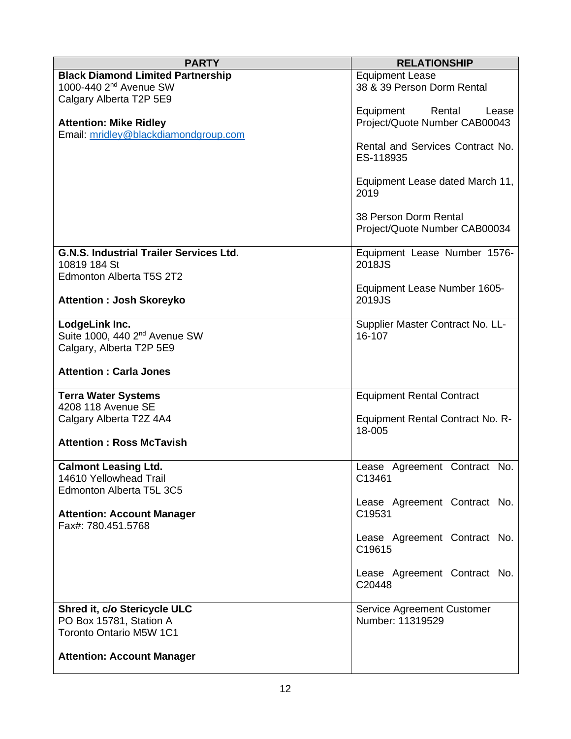| <b>PARTY</b>                                                   | <b>RELATIONSHIP</b>                    |
|----------------------------------------------------------------|----------------------------------------|
| <b>Black Diamond Limited Partnership</b>                       | <b>Equipment Lease</b>                 |
| 1000-440 2 <sup>nd</sup> Avenue SW                             | 38 & 39 Person Dorm Rental             |
| Calgary Alberta T2P 5E9                                        |                                        |
|                                                                | Equipment<br>Rental<br>Lease           |
| <b>Attention: Mike Ridley</b>                                  | Project/Quote Number CAB00043          |
| Email: mridley@blackdiamondgroup.com                           | Rental and Services Contract No.       |
|                                                                | ES-118935                              |
|                                                                |                                        |
|                                                                | Equipment Lease dated March 11,        |
|                                                                | 2019                                   |
|                                                                |                                        |
|                                                                | 38 Person Dorm Rental                  |
|                                                                | Project/Quote Number CAB00034          |
|                                                                |                                        |
| <b>G.N.S. Industrial Trailer Services Ltd.</b><br>10819 184 St | Equipment Lease Number 1576-<br>2018JS |
| Edmonton Alberta T5S 2T2                                       |                                        |
|                                                                | Equipment Lease Number 1605-           |
| <b>Attention : Josh Skoreyko</b>                               | 2019JS                                 |
|                                                                |                                        |
| LodgeLink Inc.                                                 | Supplier Master Contract No. LL-       |
| Suite 1000, 440 2 <sup>nd</sup> Avenue SW                      | 16-107                                 |
| Calgary, Alberta T2P 5E9                                       |                                        |
| <b>Attention: Carla Jones</b>                                  |                                        |
| <b>Terra Water Systems</b>                                     | <b>Equipment Rental Contract</b>       |
| 4208 118 Avenue SE                                             |                                        |
| Calgary Alberta T2Z 4A4                                        | Equipment Rental Contract No. R-       |
| <b>Attention: Ross McTavish</b>                                | 18-005                                 |
|                                                                |                                        |
| <b>Calmont Leasing Ltd.</b>                                    | Lease Agreement Contract No.           |
| 14610 Yellowhead Trail                                         | C13461                                 |
| Edmonton Alberta T5L 3C5                                       |                                        |
|                                                                | Lease Agreement Contract No.           |
| <b>Attention: Account Manager</b>                              | C19531                                 |
| Fax#: 780.451.5768                                             |                                        |
|                                                                | Lease Agreement Contract No.<br>C19615 |
|                                                                |                                        |
|                                                                | Lease Agreement Contract No.           |
|                                                                | C20448                                 |
|                                                                |                                        |
| Shred it, c/o Stericycle ULC                                   | Service Agreement Customer             |
| PO Box 15781, Station A                                        | Number: 11319529                       |
| <b>Toronto Ontario M5W 1C1</b>                                 |                                        |
| <b>Attention: Account Manager</b>                              |                                        |
|                                                                |                                        |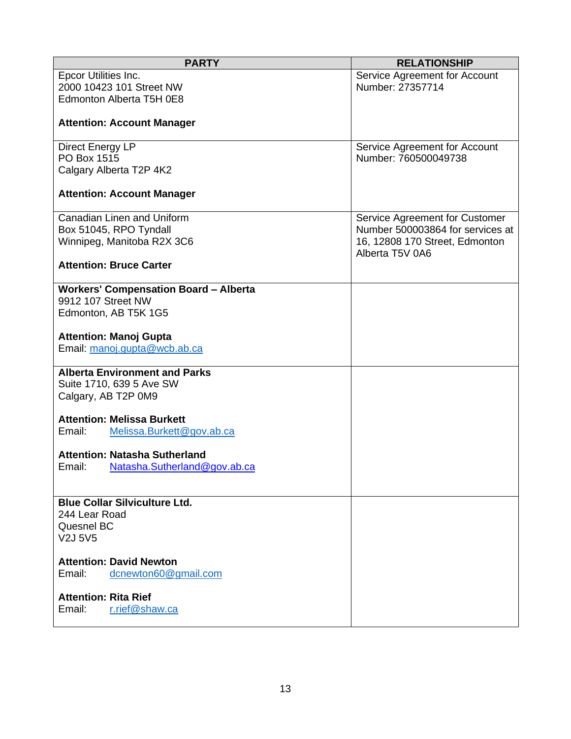| <b>PARTY</b>                                 | <b>RELATIONSHIP</b>              |
|----------------------------------------------|----------------------------------|
| Epcor Utilities Inc.                         | Service Agreement for Account    |
| 2000 10423 101 Street NW                     | Number: 27357714                 |
| Edmonton Alberta T5H 0E8                     |                                  |
|                                              |                                  |
| <b>Attention: Account Manager</b>            |                                  |
|                                              |                                  |
| Direct Energy LP                             | Service Agreement for Account    |
| PO Box 1515                                  | Number: 760500049738             |
| Calgary Alberta T2P 4K2                      |                                  |
|                                              |                                  |
| <b>Attention: Account Manager</b>            |                                  |
|                                              |                                  |
| Canadian Linen and Uniform                   | Service Agreement for Customer   |
| Box 51045, RPO Tyndall                       | Number 500003864 for services at |
| Winnipeg, Manitoba R2X 3C6                   | 16, 12808 170 Street, Edmonton   |
|                                              | Alberta T5V 0A6                  |
| <b>Attention: Bruce Carter</b>               |                                  |
|                                              |                                  |
| <b>Workers' Compensation Board - Alberta</b> |                                  |
| 9912 107 Street NW                           |                                  |
| Edmonton, AB T5K 1G5                         |                                  |
|                                              |                                  |
| <b>Attention: Manoj Gupta</b>                |                                  |
| Email: manoj.gupta@wcb.ab.ca                 |                                  |
|                                              |                                  |
| <b>Alberta Environment and Parks</b>         |                                  |
| Suite 1710, 639 5 Ave SW                     |                                  |
| Calgary, AB T2P 0M9                          |                                  |
|                                              |                                  |
| <b>Attention: Melissa Burkett</b>            |                                  |
| Email:<br>Melissa.Burkett@gov.ab.ca          |                                  |
|                                              |                                  |
| <b>Attention: Natasha Sutherland</b>         |                                  |
| Email:<br>Natasha.Sutherland@gov.ab.ca       |                                  |
|                                              |                                  |
|                                              |                                  |
| <b>Blue Collar Silviculture Ltd.</b>         |                                  |
| 244 Lear Road                                |                                  |
| Quesnel BC                                   |                                  |
| V2J 5V5                                      |                                  |
|                                              |                                  |
| <b>Attention: David Newton</b>               |                                  |
| Email:<br>dcnewton60@gmail.com               |                                  |
| <b>Attention: Rita Rief</b>                  |                                  |
|                                              |                                  |
| r.rief@shaw.ca<br>Email:                     |                                  |
|                                              |                                  |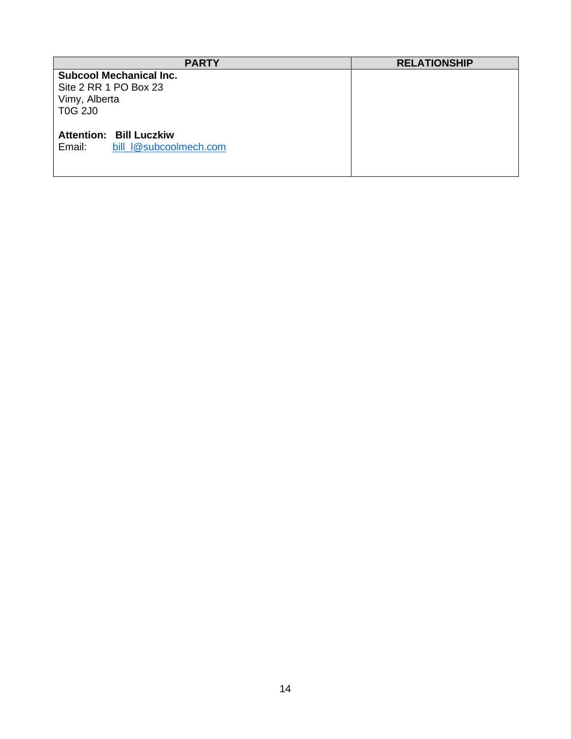| <b>PARTY</b>                                                                               | <b>RELATIONSHIP</b> |
|--------------------------------------------------------------------------------------------|---------------------|
| <b>Subcool Mechanical Inc.</b><br>Site 2 RR 1 PO Box 23<br>Vimy, Alberta<br><b>T0G 2J0</b> |                     |
| <b>Attention: Bill Luczkiw</b><br>bill I@subcoolmech.com<br>Email:                         |                     |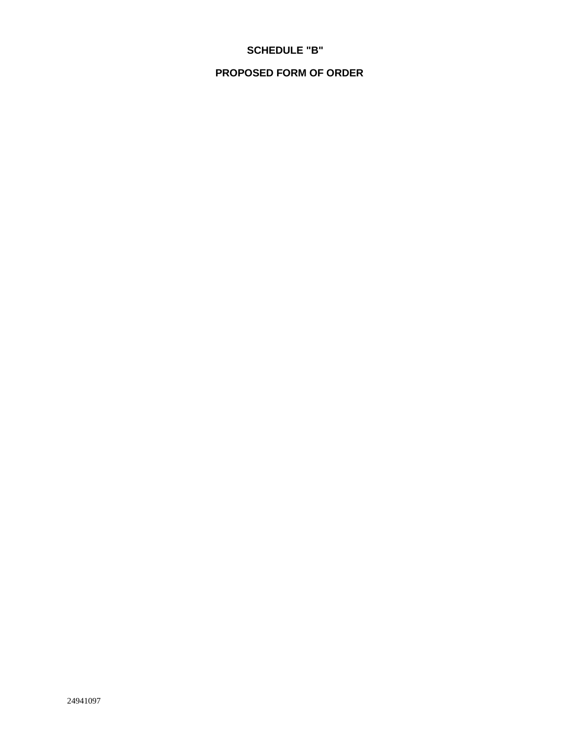# **SCHEDULE "B"**

## **PROPOSED FORM OF ORDER**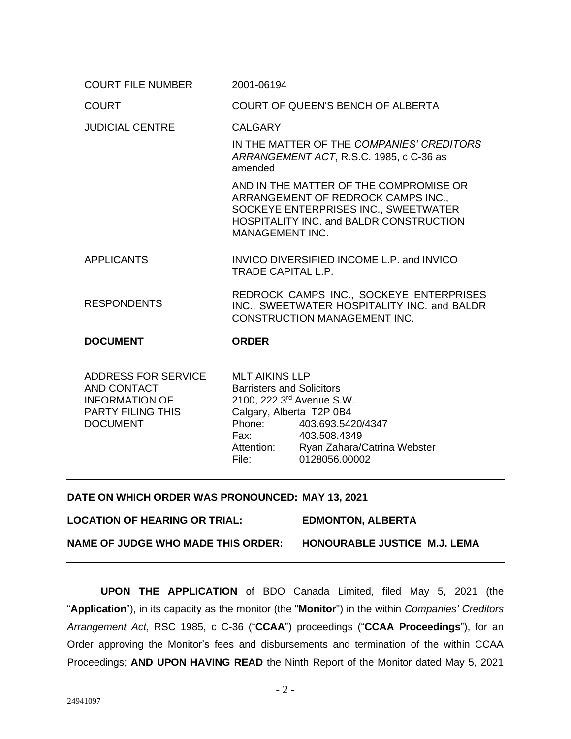| <b>COURT FILE NUMBER</b>                                    | 2001-06194                                                                                                                                                                                       |
|-------------------------------------------------------------|--------------------------------------------------------------------------------------------------------------------------------------------------------------------------------------------------|
| <b>COURT</b>                                                | COURT OF QUEEN'S BENCH OF ALBERTA                                                                                                                                                                |
| <b>JUDICIAL CENTRE</b>                                      | <b>CALGARY</b>                                                                                                                                                                                   |
|                                                             | IN THE MATTER OF THE COMPANIES' CREDITORS<br>ARRANGEMENT ACT, R.S.C. 1985, c C-36 as<br>amended                                                                                                  |
|                                                             | AND IN THE MATTER OF THE COMPROMISE OR<br>ARRANGEMENT OF REDROCK CAMPS INC.,<br>SOCKEYE ENTERPRISES INC., SWEETWATER<br><b>HOSPITALITY INC. and BALDR CONSTRUCTION</b><br><b>MANAGEMENT INC.</b> |
| <b>APPLICANTS</b>                                           | INVICO DIVERSIFIED INCOME L.P. and INVICO<br><b>TRADE CAPITAL L.P.</b>                                                                                                                           |
| <b>RESPONDENTS</b>                                          | REDROCK CAMPS INC., SOCKEYE ENTERPRISES<br>INC., SWEETWATER HOSPITALITY INC. and BALDR<br><b>CONSTRUCTION MANAGEMENT INC.</b>                                                                    |
| <b>DOCUMENT</b>                                             | <b>ORDER</b>                                                                                                                                                                                     |
| ADDRESS FOR SERVICE<br>AND CONTACT<br><b>INFORMATION OF</b> | <b>MLT AIKINS LLP</b><br><b>Barristers and Solicitors</b><br>2100, 222 3rd Avenue S.W.                                                                                                           |

 $2100, 2223$ <sup>rd</sup> Avenue S.W. Calgary, Alberta T2P 0B4 Phone: 403.693.5420/4347 Fax: 403.508.4349 Attention: Ryan Zahara/Catrina Webster File: 0128056.00002

#### **DATE ON WHICH ORDER WAS PRONOUNCED: MAY 13, 2021**

**LOCATION OF HEARING OR TRIAL: EDMONTON, ALBERTA**

PARTY FILING THIS

DOCUMENT

**NAME OF JUDGE WHO MADE THIS ORDER: HONOURABLE JUSTICE M.J. LEMA**

**UPON THE APPLICATION** of BDO Canada Limited, filed May 5, 2021 (the "**Application**"), in its capacity as the monitor (the "**Monitor**") in the within *Companies' Creditors Arrangement Act*, RSC 1985, c C-36 ("**CCAA**") proceedings ("**CCAA Proceedings**"), for an Order approving the Monitor's fees and disbursements and termination of the within CCAA Proceedings; **AND UPON HAVING READ** the Ninth Report of the Monitor dated May 5, 2021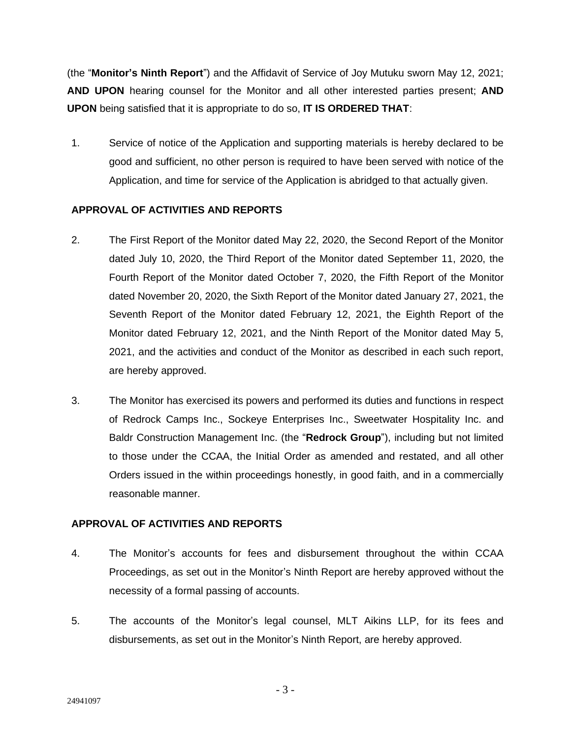(the "**Monitor's Ninth Report**") and the Affidavit of Service of Joy Mutuku sworn May 12, 2021; **AND UPON** hearing counsel for the Monitor and all other interested parties present; **AND UPON** being satisfied that it is appropriate to do so, **IT IS ORDERED THAT**:

1. Service of notice of the Application and supporting materials is hereby declared to be good and sufficient, no other person is required to have been served with notice of the Application, and time for service of the Application is abridged to that actually given.

## **APPROVAL OF ACTIVITIES AND REPORTS**

- 2. The First Report of the Monitor dated May 22, 2020, the Second Report of the Monitor dated July 10, 2020, the Third Report of the Monitor dated September 11, 2020, the Fourth Report of the Monitor dated October 7, 2020, the Fifth Report of the Monitor dated November 20, 2020, the Sixth Report of the Monitor dated January 27, 2021, the Seventh Report of the Monitor dated February 12, 2021, the Eighth Report of the Monitor dated February 12, 2021, and the Ninth Report of the Monitor dated May 5, 2021, and the activities and conduct of the Monitor as described in each such report, are hereby approved.
- 3. The Monitor has exercised its powers and performed its duties and functions in respect of Redrock Camps Inc., Sockeye Enterprises Inc., Sweetwater Hospitality Inc. and Baldr Construction Management Inc. (the "**Redrock Group**"), including but not limited to those under the CCAA, the Initial Order as amended and restated, and all other Orders issued in the within proceedings honestly, in good faith, and in a commercially reasonable manner.

### **APPROVAL OF ACTIVITIES AND REPORTS**

- 4. The Monitor's accounts for fees and disbursement throughout the within CCAA Proceedings, as set out in the Monitor's Ninth Report are hereby approved without the necessity of a formal passing of accounts.
- 5. The accounts of the Monitor's legal counsel, MLT Aikins LLP, for its fees and disbursements, as set out in the Monitor's Ninth Report, are hereby approved.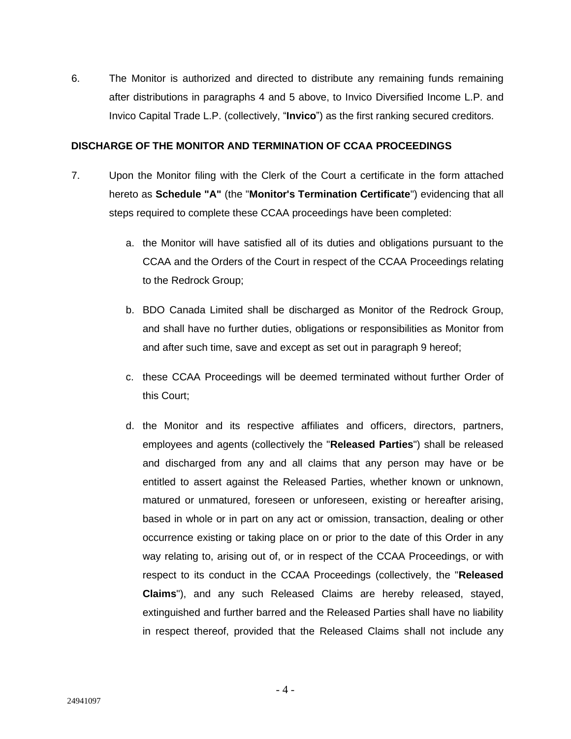6. The Monitor is authorized and directed to distribute any remaining funds remaining after distributions in paragraphs 4 and 5 above, to Invico Diversified Income L.P. and Invico Capital Trade L.P. (collectively, "**Invico**") as the first ranking secured creditors.

#### **DISCHARGE OF THE MONITOR AND TERMINATION OF CCAA PROCEEDINGS**

- 7. Upon the Monitor filing with the Clerk of the Court a certificate in the form attached hereto as **Schedule "A"** (the "**Monitor's Termination Certificate**") evidencing that all steps required to complete these CCAA proceedings have been completed:
	- a. the Monitor will have satisfied all of its duties and obligations pursuant to the CCAA and the Orders of the Court in respect of the CCAA Proceedings relating to the Redrock Group;
	- b. BDO Canada Limited shall be discharged as Monitor of the Redrock Group, and shall have no further duties, obligations or responsibilities as Monitor from and after such time, save and except as set out in paragraph 9 hereof;
	- c. these CCAA Proceedings will be deemed terminated without further Order of this Court;
	- d. the Monitor and its respective affiliates and officers, directors, partners, employees and agents (collectively the "**Released Parties**") shall be released and discharged from any and all claims that any person may have or be entitled to assert against the Released Parties, whether known or unknown, matured or unmatured, foreseen or unforeseen, existing or hereafter arising, based in whole or in part on any act or omission, transaction, dealing or other occurrence existing or taking place on or prior to the date of this Order in any way relating to, arising out of, or in respect of the CCAA Proceedings, or with respect to its conduct in the CCAA Proceedings (collectively, the "**Released Claims**"), and any such Released Claims are hereby released, stayed, extinguished and further barred and the Released Parties shall have no liability in respect thereof, provided that the Released Claims shall not include any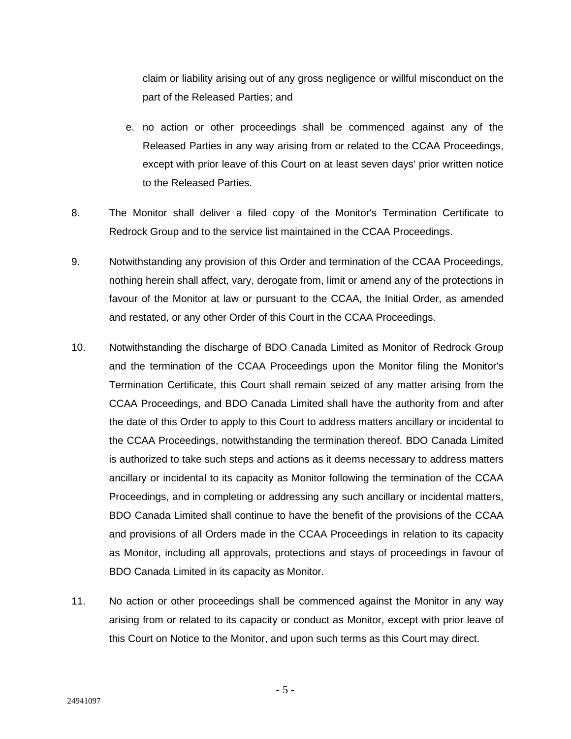claim or liability arising out of any gross negligence or willful misconduct on the part of the Released Parties; and

- e. no action or other proceedings shall be commenced against any of the Released Parties in any way arising from or related to the CCAA Proceedings, except with prior leave of this Court on at least seven days' prior written notice to the Released Parties.
- 8. The Monitor shall deliver a filed copy of the Monitor's Termination Certificate to Redrock Group and to the service list maintained in the CCAA Proceedings.
- 9. Notwithstanding any provision of this Order and termination of the CCAA Proceedings, nothing herein shall affect, vary, derogate from, limit or amend any of the protections in favour of the Monitor at law or pursuant to the CCAA, the Initial Order, as amended and restated, or any other Order of this Court in the CCAA Proceedings.
- 10. Notwithstanding the discharge of BDO Canada Limited as Monitor of Redrock Group and the termination of the CCAA Proceedings upon the Monitor filing the Monitor's Termination Certificate, this Court shall remain seized of any matter arising from the CCAA Proceedings, and BDO Canada Limited shall have the authority from and after the date of this Order to apply to this Court to address matters ancillary or incidental to the CCAA Proceedings, notwithstanding the termination thereof. BDO Canada Limited is authorized to take such steps and actions as it deems necessary to address matters ancillary or incidental to its capacity as Monitor following the termination of the CCAA Proceedings, and in completing or addressing any such ancillary or incidental matters, BDO Canada Limited shall continue to have the benefit of the provisions of the CCAA and provisions of all Orders made in the CCAA Proceedings in relation to its capacity as Monitor, including all approvals, protections and stays of proceedings in favour of BDO Canada Limited in its capacity as Monitor.
- 11. No action or other proceedings shall be commenced against the Monitor in any way arising from or related to its capacity or conduct as Monitor, except with prior leave of this Court on Notice to the Monitor, and upon such terms as this Court may direct.